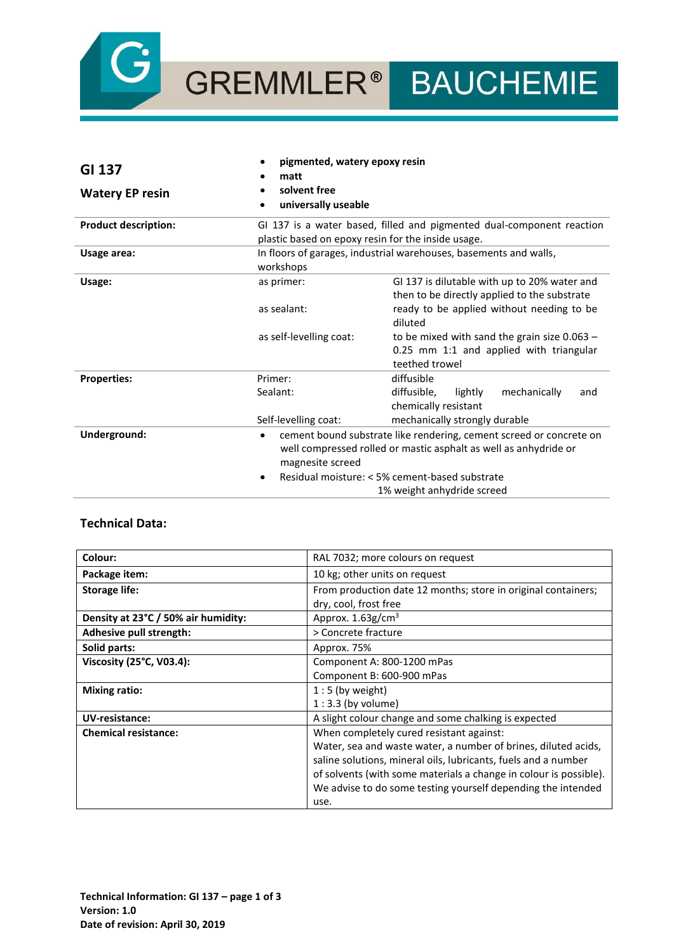

GREMMLER® BAUCHEMIE

| GI 137                      | pigmented, watery epoxy resin<br>matt              |                                                                                                                                                                                                                         |
|-----------------------------|----------------------------------------------------|-------------------------------------------------------------------------------------------------------------------------------------------------------------------------------------------------------------------------|
| <b>Watery EP resin</b>      | solvent free<br>universally useable<br>$\bullet$   |                                                                                                                                                                                                                         |
| <b>Product description:</b> | plastic based on epoxy resin for the inside usage. | GI 137 is a water based, filled and pigmented dual-component reaction                                                                                                                                                   |
| Usage area:                 | workshops                                          | In floors of garages, industrial warehouses, basements and walls,                                                                                                                                                       |
| Usage:                      | as primer:                                         | GI 137 is dilutable with up to 20% water and<br>then to be directly applied to the substrate                                                                                                                            |
|                             | as sealant:                                        | ready to be applied without needing to be<br>diluted                                                                                                                                                                    |
|                             | as self-levelling coat:                            | to be mixed with sand the grain size $0.063 -$<br>0.25 mm 1:1 and applied with triangular<br>teethed trowel                                                                                                             |
| <b>Properties:</b>          | Primer:                                            | diffusible                                                                                                                                                                                                              |
|                             | Sealant:                                           | mechanically<br>diffusible,<br>lightly<br>and<br>chemically resistant                                                                                                                                                   |
|                             | Self-levelling coat:                               | mechanically strongly durable                                                                                                                                                                                           |
| Underground:                | ٠<br>magnesite screed<br>٠                         | cement bound substrate like rendering, cement screed or concrete on<br>well compressed rolled or mastic asphalt as well as anhydride or<br>Residual moisture: < 5% cement-based substrate<br>1% weight anhydride screed |

## **Technical Data:**

| Colour:                             | RAL 7032; more colours on request                                 |
|-------------------------------------|-------------------------------------------------------------------|
| Package item:                       | 10 kg; other units on request                                     |
| <b>Storage life:</b>                | From production date 12 months; store in original containers;     |
|                                     | dry, cool, frost free                                             |
| Density at 23°C / 50% air humidity: | Approx. $1.63$ g/cm <sup>3</sup>                                  |
| Adhesive pull strength:             | > Concrete fracture                                               |
| Solid parts:                        | Approx. 75%                                                       |
| Viscosity (25°C, V03.4):            | Component A: 800-1200 mPas                                        |
|                                     | Component B: 600-900 mPas                                         |
| <b>Mixing ratio:</b>                | $1:5$ (by weight)                                                 |
|                                     | $1:3.3$ (by volume)                                               |
| UV-resistance:                      | A slight colour change and some chalking is expected              |
| <b>Chemical resistance:</b>         | When completely cured resistant against:                          |
|                                     | Water, sea and waste water, a number of brines, diluted acids,    |
|                                     | saline solutions, mineral oils, lubricants, fuels and a number    |
|                                     | of solvents (with some materials a change in colour is possible). |
|                                     | We advise to do some testing yourself depending the intended      |
|                                     | use.                                                              |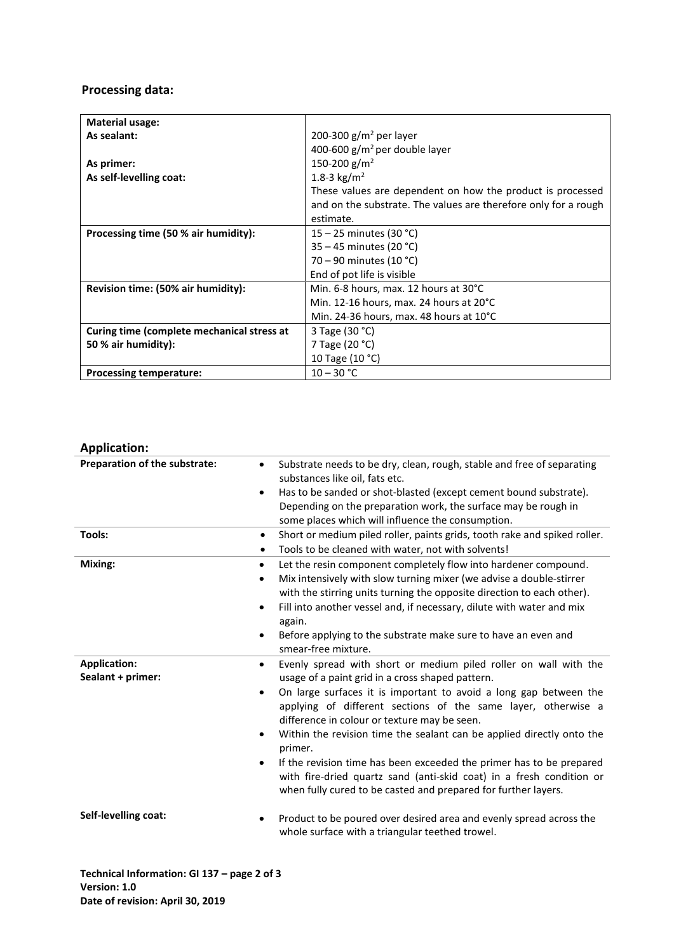# **Processing data:**

| <b>Material usage:</b>                     |                                                                 |
|--------------------------------------------|-----------------------------------------------------------------|
| As sealant:                                | 200-300 $g/m^2$ per layer                                       |
|                                            | 400-600 $\rm g/m^2$ per double layer                            |
| As primer:                                 | 150-200 g/m <sup>2</sup>                                        |
| As self-levelling coat:                    | 1.8-3 kg/m <sup>2</sup>                                         |
|                                            | These values are dependent on how the product is processed      |
|                                            | and on the substrate. The values are therefore only for a rough |
|                                            | estimate.                                                       |
| Processing time (50 % air humidity):       | $15 - 25$ minutes (30 °C)                                       |
|                                            | $35 - 45$ minutes (20 °C)                                       |
|                                            | 70 – 90 minutes (10 °C)                                         |
|                                            | End of pot life is visible                                      |
| Revision time: (50% air humidity):         | Min. 6-8 hours, max. 12 hours at 30°C                           |
|                                            | Min. 12-16 hours, max. 24 hours at 20°C                         |
|                                            | Min. 24-36 hours, max. 48 hours at 10°C                         |
| Curing time (complete mechanical stress at | 3 Tage (30 °C)                                                  |
| 50 % air humidity):                        | 7 Tage (20 °C)                                                  |
|                                            | 10 Tage (10 °C)                                                 |
| <b>Processing temperature:</b>             | $10 - 30 °C$                                                    |

# **Application:**

| Preparation of the substrate:            | Substrate needs to be dry, clean, rough, stable and free of separating<br>$\bullet$<br>substances like oil, fats etc.<br>Has to be sanded or shot-blasted (except cement bound substrate).<br>$\bullet$<br>Depending on the preparation work, the surface may be rough in<br>some places which will influence the consumption.                                                                                                                                                                                                                                                                                                                                       |
|------------------------------------------|----------------------------------------------------------------------------------------------------------------------------------------------------------------------------------------------------------------------------------------------------------------------------------------------------------------------------------------------------------------------------------------------------------------------------------------------------------------------------------------------------------------------------------------------------------------------------------------------------------------------------------------------------------------------|
| Tools:                                   | Short or medium piled roller, paints grids, tooth rake and spiked roller.<br>$\bullet$<br>Tools to be cleaned with water, not with solvents!<br>٠                                                                                                                                                                                                                                                                                                                                                                                                                                                                                                                    |
| Mixing:                                  | Let the resin component completely flow into hardener compound.<br>$\bullet$<br>Mix intensively with slow turning mixer (we advise a double-stirrer<br>$\bullet$<br>with the stirring units turning the opposite direction to each other).<br>Fill into another vessel and, if necessary, dilute with water and mix<br>$\bullet$<br>again.<br>Before applying to the substrate make sure to have an even and<br>$\bullet$<br>smear-free mixture.                                                                                                                                                                                                                     |
| <b>Application:</b><br>Sealant + primer: | Evenly spread with short or medium piled roller on wall with the<br>$\bullet$<br>usage of a paint grid in a cross shaped pattern.<br>On large surfaces it is important to avoid a long gap between the<br>$\bullet$<br>applying of different sections of the same layer, otherwise a<br>difference in colour or texture may be seen.<br>Within the revision time the sealant can be applied directly onto the<br>$\bullet$<br>primer.<br>If the revision time has been exceeded the primer has to be prepared<br>$\bullet$<br>with fire-dried quartz sand (anti-skid coat) in a fresh condition or<br>when fully cured to be casted and prepared for further layers. |
| Self-levelling coat:                     | Product to be poured over desired area and evenly spread across the<br>٠<br>whole surface with a triangular teethed trowel.                                                                                                                                                                                                                                                                                                                                                                                                                                                                                                                                          |